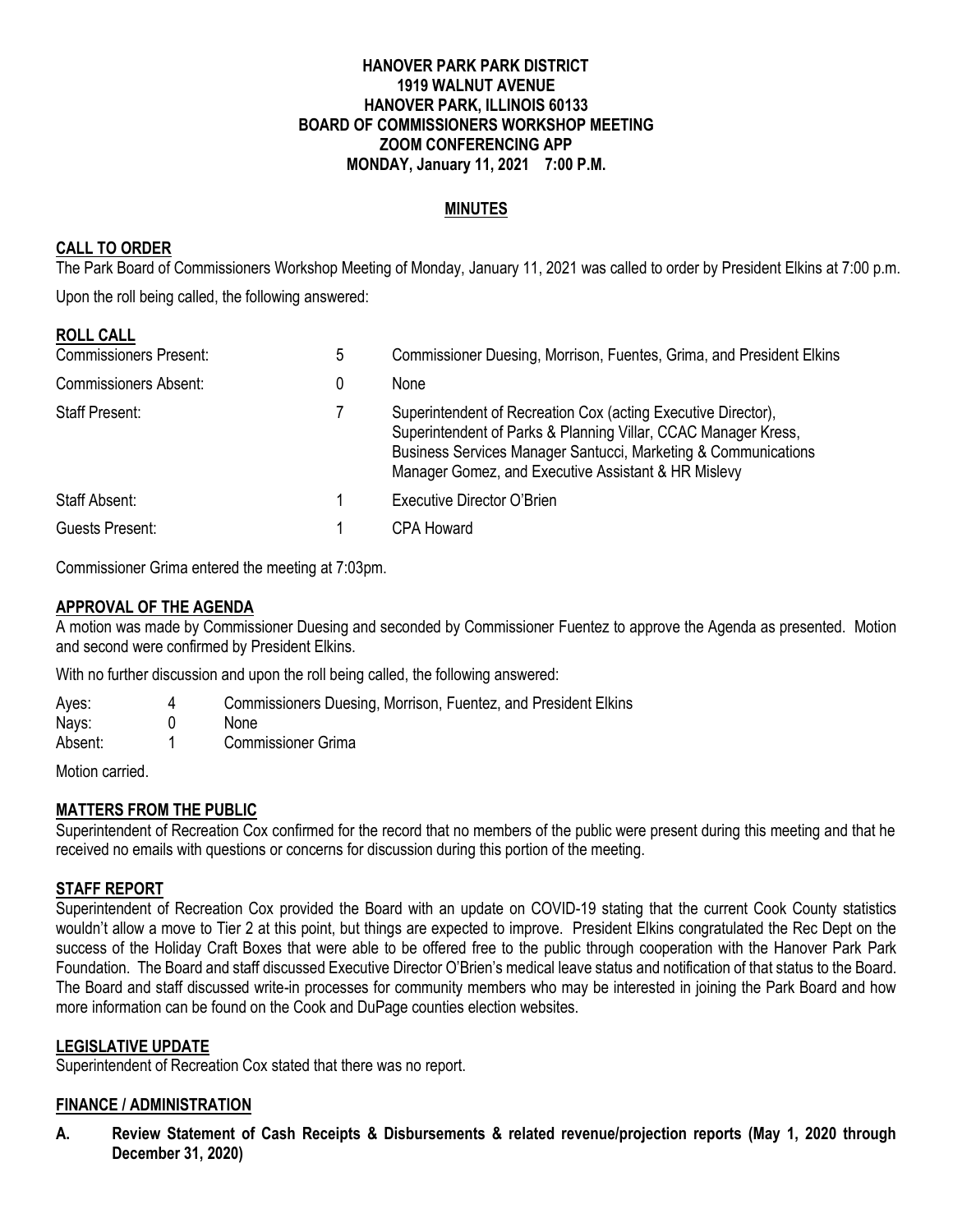#### **HANOVER PARK PARK DISTRICT 1919 WALNUT AVENUE HANOVER PARK, ILLINOIS 60133 BOARD OF COMMISSIONERS WORKSHOP MEETING ZOOM CONFERENCING APP MONDAY, January 11, 2021 7:00 P.M.**

### **MINUTES**

### **CALL TO ORDER**

The Park Board of Commissioners Workshop Meeting of Monday, January 11, 2021 was called to order by President Elkins at 7:00 p.m. Upon the roll being called, the following answered:

#### **ROLL CALL**

| <b>Commissioners Present:</b> | 5 | Commissioner Duesing, Morrison, Fuentes, Grima, and President Elkins                                                                                                                                                                                     |
|-------------------------------|---|----------------------------------------------------------------------------------------------------------------------------------------------------------------------------------------------------------------------------------------------------------|
| <b>Commissioners Absent:</b>  |   | <b>None</b>                                                                                                                                                                                                                                              |
| <b>Staff Present:</b>         |   | Superintendent of Recreation Cox (acting Executive Director),<br>Superintendent of Parks & Planning Villar, CCAC Manager Kress,<br>Business Services Manager Santucci, Marketing & Communications<br>Manager Gomez, and Executive Assistant & HR Mislevy |
| Staff Absent:                 |   | Executive Director O'Brien                                                                                                                                                                                                                               |
| Guests Present:               |   | CPA Howard                                                                                                                                                                                                                                               |

Commissioner Grima entered the meeting at 7:03pm.

#### **APPROVAL OF THE AGENDA**

A motion was made by Commissioner Duesing and seconded by Commissioner Fuentez to approve the Agenda as presented. Motion and second were confirmed by President Elkins.

With no further discussion and upon the roll being called, the following answered:

| Ayes: | Commissioners Duesing, Morrison, Fuentez, and President Elkins |
|-------|----------------------------------------------------------------|
| Nays: | <b>None</b>                                                    |

Absent: 1 Commissioner Grima

Motion carried

### **MATTERS FROM THE PUBLIC**

Superintendent of Recreation Cox confirmed for the record that no members of the public were present during this meeting and that he received no emails with questions or concerns for discussion during this portion of the meeting.

### **STAFF REPORT**

Superintendent of Recreation Cox provided the Board with an update on COVID-19 stating that the current Cook County statistics wouldn't allow a move to Tier 2 at this point, but things are expected to improve. President Elkins congratulated the Rec Dept on the success of the Holiday Craft Boxes that were able to be offered free to the public through cooperation with the Hanover Park Park Foundation. The Board and staff discussed Executive Director O'Brien's medical leave status and notification of that status to the Board. The Board and staff discussed write-in processes for community members who may be interested in joining the Park Board and how more information can be found on the Cook and DuPage counties election websites.

#### **LEGISLATIVE UPDATE**

Superintendent of Recreation Cox stated that there was no report.

### **FINANCE / ADMINISTRATION**

**A. Review Statement of Cash Receipts & Disbursements & related revenue/projection reports (May 1, 2020 through December 31, 2020)**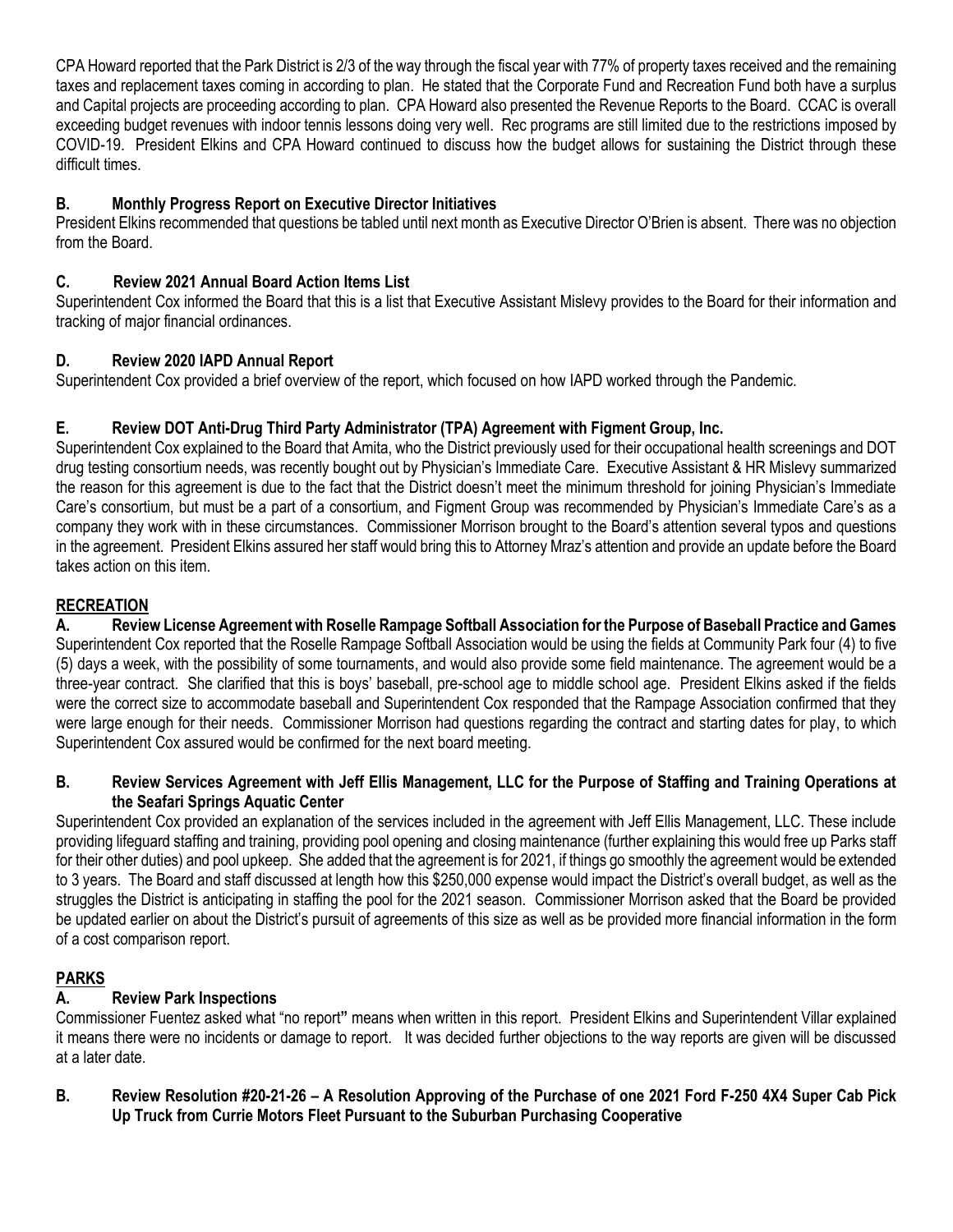CPA Howard reported that the Park District is 2/3 of the way through the fiscal year with 77% of property taxes received and the remaining taxes and replacement taxes coming in according to plan. He stated that the Corporate Fund and Recreation Fund both have a surplus and Capital projects are proceeding according to plan. CPA Howard also presented the Revenue Reports to the Board. CCAC is overall exceeding budget revenues with indoor tennis lessons doing very well. Rec programs are still limited due to the restrictions imposed by COVID-19. President Elkins and CPA Howard continued to discuss how the budget allows for sustaining the District through these difficult times.

# **B. Monthly Progress Report on Executive Director Initiatives**

President Elkins recommended that questions be tabled until next month as Executive Director O'Brien is absent. There was no objection from the Board.

### **C. Review 2021 Annual Board Action Items List**

Superintendent Cox informed the Board that this is a list that Executive Assistant Mislevy provides to the Board for their information and tracking of major financial ordinances.

# **D. Review 2020 IAPD Annual Report**

Superintendent Cox provided a brief overview of the report, which focused on how IAPD worked through the Pandemic.

# **E. Review DOT Anti-Drug Third Party Administrator (TPA) Agreement with Figment Group, Inc.**

Superintendent Cox explained to the Board that Amita, who the District previously used for their occupational health screenings and DOT drug testing consortium needs, was recently bought out by Physician's Immediate Care. Executive Assistant & HR Mislevy summarized the reason for this agreement is due to the fact that the District doesn't meet the minimum threshold for joining Physician's Immediate Care's consortium, but must be a part of a consortium, and Figment Group was recommended by Physician's Immediate Care's as a company they work with in these circumstances. Commissioner Morrison brought to the Board's attention several typos and questions in the agreement. President Elkins assured her staff would bring this to Attorney Mraz's attention and provide an update before the Board takes action on this item.

# **RECREATION**

**A. Review License Agreement with Roselle Rampage Softball Association for the Purpose of Baseball Practice and Games** Superintendent Cox reported that the Roselle Rampage Softball Association would be using the fields at Community Park four (4) to five (5) days a week, with the possibility of some tournaments, and would also provide some field maintenance. The agreement would be a three-year contract. She clarified that this is boys' baseball, pre-school age to middle school age. President Elkins asked if the fields were the correct size to accommodate baseball and Superintendent Cox responded that the Rampage Association confirmed that they were large enough for their needs. Commissioner Morrison had questions regarding the contract and starting dates for play, to which Superintendent Cox assured would be confirmed for the next board meeting.

### **B. Review Services Agreement with Jeff Ellis Management, LLC for the Purpose of Staffing and Training Operations at the Seafari Springs Aquatic Center**

Superintendent Cox provided an explanation of the services included in the agreement with Jeff Ellis Management, LLC. These include providing lifeguard staffing and training, providing pool opening and closing maintenance (further explaining this would free up Parks staff for their other duties) and pool upkeep. She added that the agreement is for 2021, if things go smoothly the agreement would be extended to 3 years. The Board and staff discussed at length how this \$250,000 expense would impact the District's overall budget, as well as the struggles the District is anticipating in staffing the pool for the 2021 season. Commissioner Morrison asked that the Board be provided be updated earlier on about the District's pursuit of agreements of this size as well as be provided more financial information in the form of a cost comparison report.

# **PARKS**

# **A. Review Park Inspections**

Commissioner Fuentez asked what "no report**"** means when written in this report. President Elkins and Superintendent Villar explained it means there were no incidents or damage to report. It was decided further objections to the way reports are given will be discussed at a later date.

**B. Review Resolution #20-21-26 – A Resolution Approving of the Purchase of one 2021 Ford F-250 4X4 Super Cab Pick Up Truck from Currie Motors Fleet Pursuant to the Suburban Purchasing Cooperative**